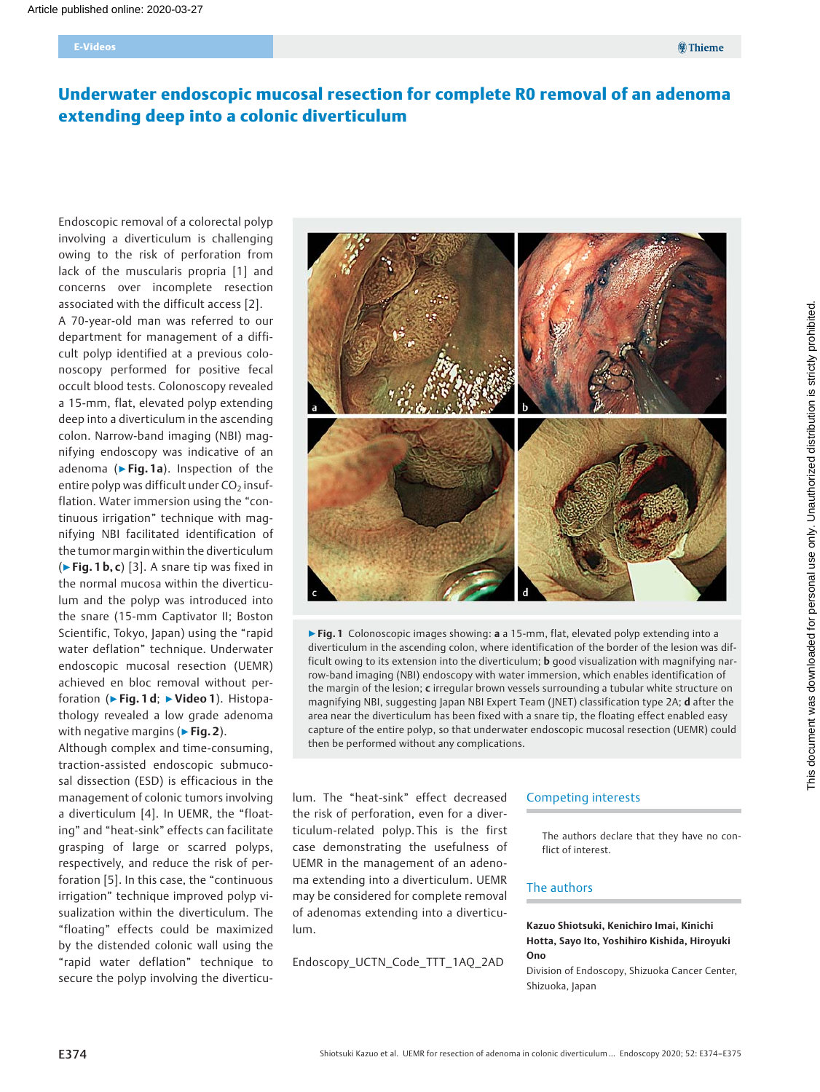# Underwater endoscopic mucosal resection for complete R0 removal of an adenoma extending deep into a colonic diverticulum

Endoscopic removal of a colorectal polyp involving a diverticulum is challenging owing to the risk of perforation from lack of the muscularis propria [1] and concerns over incomplete resection associated with the difficult access [2]. A 70-year-old man was referred to our department for management of a difficult polyp identified at a previous colonoscopy performed for positive fecal occult blood tests. Colonoscopy revealed a 15-mm, flat, elevated polyp extending deep into a diverticulum in the ascending colon. Narrow-band imaging (NBI) magnifying endoscopy was indicative of an adenoma ( $\blacktriangleright$  Fig. 1a). Inspection of the entire polyp was difficult under  $CO<sub>2</sub>$  insufflation. Water immersion using the "continuous irrigation" technique with magnifying NBI facilitated identification of the tumor margin within the diverticulum  $(\triangleright$  Fig. 1 b, c) [3]. A snare tip was fixed in the normal mucosa within the diverticulum and the polyp was introduced into the snare (15-mm Captivator II; Boston Scientific, Tokyo, Japan) using the "rapid water deflation" technique. Underwater endoscopic mucosal resection (UEMR) achieved en bloc removal without perforation (▶Fig. 1 d; ▶Video 1). Histopathology revealed a low grade adenoma with negative margins ( $\triangleright$  Fig. 2).

Although complex and time-consuming, traction-assisted endoscopic submucosal dissection (ESD) is efficacious in the management of colonic tumors involving a diverticulum [4]. In UEMR, the "floating" and "heat-sink" effects can facilitate grasping of large or scarred polyps, respectively, and reduce the risk of perforation [5]. In this case, the "continuous irrigation" technique improved polyp visualization within the diverticulum. The "floating" effects could be maximized by the distended colonic wall using the "rapid water deflation" technique to secure the polyp involving the diverticu-



 $\triangleright$  Fig. 1 Colonoscopic images showing: a a 15-mm, flat, elevated polyp extending into a diverticulum in the ascending colon, where identification of the border of the lesion was difficult owing to its extension into the diverticulum; **b** good visualization with magnifying narrow-band imaging (NBI) endoscopy with water immersion, which enables identification of the margin of the lesion; c irregular brown vessels surrounding a tubular white structure on magnifying NBI, suggesting Japan NBI Expert Team (JNET) classification type 2A; d after the area near the diverticulum has been fixed with a snare tip, the floating effect enabled easy capture of the entire polyp, so that underwater endoscopic mucosal resection (UEMR) could then be performed without any complications.

lum. The "heat-sink" effect decreased the risk of perforation, even for a diverticulum-related polyp. This is the first case demonstrating the usefulness of UEMR in the management of an adenoma extending into a diverticulum. UEMR may be considered for complete removal of adenomas extending into a diverticulum.

Endoscopy\_UCTN\_Code\_TTT\_1AQ\_2AD

#### Competing interests

The authors declare that they have no conflict of interest.

#### The authors

### Kazuo Shiotsuki, Kenichiro Imai, Kinichi Hotta, Sayo Ito, Yoshihiro Kishida, Hiroyuki Ono

Division of Endoscopy, Shizuoka Cancer Center, Shizuoka, Japan